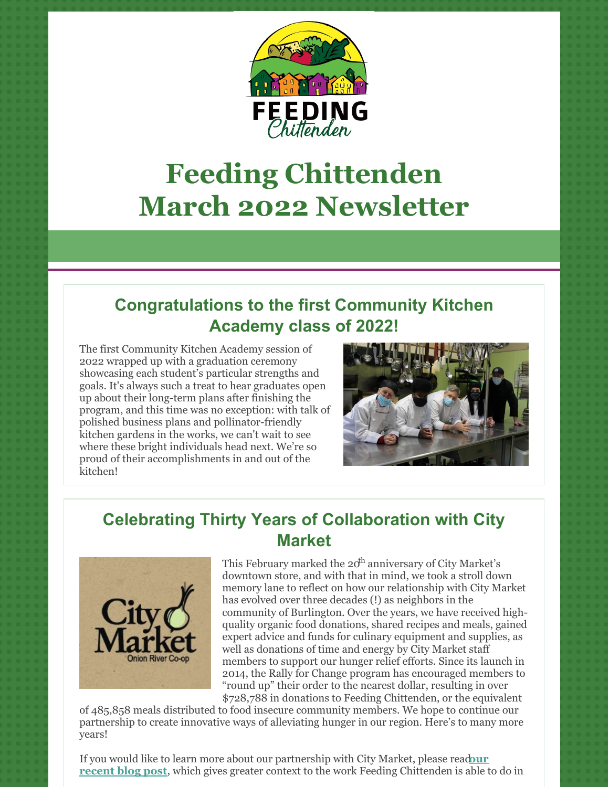

# **Feeding Chittenden March 2022 Newsletter**

# **Congratulations to the first Community Kitchen Academy class of 2022!**

The first Community Kitchen Academy session of 2022 wrapped up with a graduation ceremony showcasing each student's particular strengths and goals. It's always such a treat to hear graduates open up about their long-term plans after finishing the program, and this time was no exception: with talk of polished business plans and pollinator-friendly kitchen gardens in the works, we can't wait to see where these bright individuals head next. We're so proud of their accomplishments in and out of the kitchen!



## **Celebrating Thirty Years of Collaboration with City Market**



This February marked the  $20^{\text{h}}$  anniversary of City Market's downtown store, and with that in mind, we took a stroll down memory lane to reflect on how our relationship with City Market has evolved over three decades (!) as neighbors in the community of Burlington. Over the years, we have received highquality organic food donations, shared recipes and meals, gained expert advice and funds for culinary equipment and supplies, as well as donations of time and energy by City Market staff members to support our hunger relief efforts. Since its launch in 2014, the Rally for Change program has encouraged members to "round up" their order to the nearest dollar, resulting in over \$728,788 in donations to Feeding Chittenden, or the equivalent

of 485,858 meals distributed to food insecure community members. We hope to continue our partnership to create innovative ways of alleviating hunger in our region. Here's to many more years!

If you would like to learn more about our [partnership](https://feedingchittenden.org/celebrating-thirty-years-of-collaboration-with-city-market/) with City Market, please read**our recent blog post**, which gives greater context to the work Feeding Chittenden is able to do in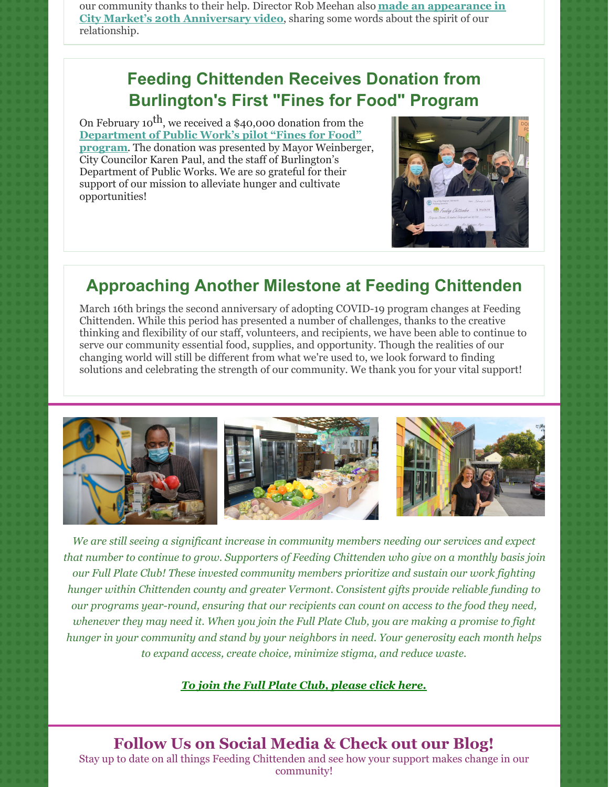our community thanks to their help. Director Rob Meehan also **made an appearance in City Market's 20th [Anniversary](https://www.youtube.com/watch?v=_t-H5GQuWOU) video**, sharing some words about the spirit of our relationship.

## **Feeding Chittenden Receives Donation from Burlington's First "Fines for Food" Program**

On February 10<sup>th</sup>, we received a \$40,000 donation from the **[Department](https://www.burlingtonvt.gov/Press/burlington%E2%80%99s-first%C2%A0fines-for-food-program%C2%A0results-in%C2%A040000-donation%C2%A0to-feeding-chittenden%C2%A0%C2%A0#:~:text=Burlington) of Public Work's pilot "Fines for Food" program**. The donation was presented by Mayor Weinberger, City Councilor Karen Paul, and the staff of Burlington's Department of Public Works. We are so grateful for their support of our mission to alleviate hunger and cultivate opportunities!



#### **Approaching Another Milestone at Feeding Chittenden**

March 16th brings the second anniversary of adopting COVID-19 program changes at Feeding Chittenden. While this period has presented a number of challenges, thanks to the creative thinking and flexibility of our staff, volunteers, and recipients, we have been able to continue to serve our community essential food, supplies, and opportunity. Though the realities of our changing world will still be different from what we're used to, we look forward to finding solutions and celebrating the strength of our community. We thank you for your vital support!



*We are still seeing a significant increase in community members needing our services and expect that number to continue to grow. Supporters of Feeding Chittenden who give on a monthly basis join our Full Plate Club! These invested community members prioritize and sustain our work fighting hunger within Chittenden county and greater Vermont. Consistent gifts provide reliable funding to our programs year-round, ensuring that our recipients can count on access to the food they need,* whenever they may need it. When you join the Full Plate Club, you are making a promise to fight *hunger in your community and stand by your neighbors in need. Your generosity each month helps to expand access, create choice, minimize stigma, and reduce waste.*

#### *To join the Full Plate Club, [please](https://feedingchittenden.networkforgood.com/projects/132445-full-plate-club) click here.*

**Follow Us on Social Media & Check out our Blog!**

Stay up to date on all things Feeding Chittenden and see how your support makes change in our community!